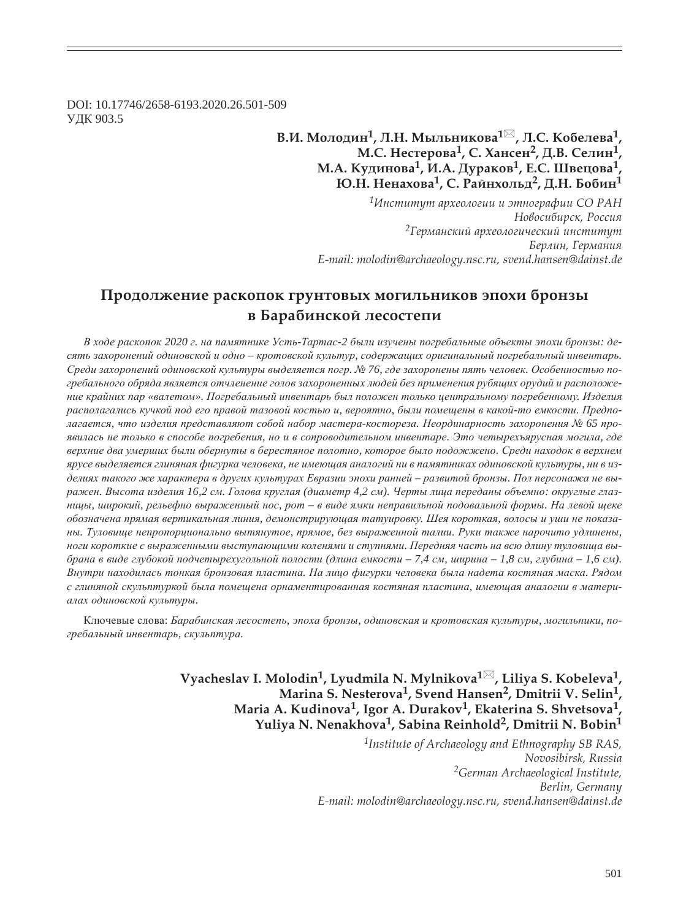DOI: 10.17746/2658-6193.2020.26.501-509 ɍȾɄ 903.5

> **В.И. Молодин<sup>1</sup>, Л.Н. Мыльникова<sup>1⊠</sup>, Л.С. Кобелева<sup>1</sup>, Ǻ.ǿ. ǻȓȟȠȓȞȜȐȎ1, ǿ. ȃȎțȟȓț2, Dz.ǰ. ǿȓșȖț1, Ǻ.Ǯ. ǸȡȒȖțȜȐȎ1, Ƕ.Ǯ. DzȡȞȎȘȜȐ1, dz.ǿ. ȆȐȓȤȜȐȎ1,**   $\overline{H}$ **О.Н.** Ненахова<sup>1</sup>, С. Райнхольд<sup>2</sup>, Д.Н. Бобин<sup>1</sup>

> > *<sup>1</sup>ǶțȟȠȖȠȡȠ ȎȞȣȓȜșȜȑȖȖ Ȗ ȫȠțȜȑȞȎȢȖȖ ǿǼ ǾǮǻ*  $H$ овосибирск, Россия <sup>2</sup>Германский археологический институт  $B$ ерлин, Германия *E-mail: molodin@archaeology.nsc.ru, svend.hansen@dainst.de*

# Продолжение раскопок грунтовых могильников эпохи бронзы **в Барабинской лесостепи**

В ходе раскопок 2020 г. на памятнике Усть-Тартас-2 были изучены погребальные объекты эпохи бронзы: десять захоронений одиновской и одно – кротовской культур, содержащих оригинальный погребальный инвентарь. Среди захоронений одиновской культуры выделяется погр. № 76, где захоронены пять человек. Особенностью погребального обряда является отчленение голов захороненных людей без применения рубящих орудий и расположе*ɧɢɟ ɤɪɚɣɧɢɯ ɩɚɪ «ɜɚɥɟɬɨɦ». ɉɨɝɪɟɛɚɥɶɧɵɣ ɢɧɜɟɧɬɚɪɶ ɛɵɥ ɩɨɥɨɠɟɧ ɬɨɥɶɤɨ ɰɟɧɬɪɚɥɶɧɨɦɭ ɩɨɝɪɟɛɟɧɧɨɦɭ. ɂɡɞɟɥɢɹ* располагались кучкой под его правой тазовой костью и, вероятно, были помещены в какой-то емкости. Предполагается, что изделия представляют собой набор мастера-костореза. Неординарность захоронения № 65 проявилась не только в способе погребения, но и в сопроводительном инвентаре. Это четырехъярусная могила, где *ɜɟɪɯɧɢɟ ɞɜɚ ɭɦɟɪɲɢɯ ɛɵɥɢ ɨɛɟɪɧɭɬɵ ɜ ɛɟɪɟɫɬɹɧɨɟ ɩɨɥɨɬɧɨ, ɤɨɬɨɪɨɟ ɛɵɥɨ ɩɨɞɨɠɠɟɧɨ. ɋɪɟɞɢ ɧɚɯɨɞɨɤ ɜ ɜɟɪɯɧɟɦ* ярусе выделяется глиняная фигурка человека, не имеющая аналогий ни в памятниках одиновской культуры, ни в изделиях такого же характера в других культурах Евразии эпохи ранней – развитой бронзы. Пол персонажа не выражен. Высота изделия 16,2 см. Голова круглая (диаметр 4,2 см). Черты лица переданы объемно: округлые глазницы, широкий, рельефно выраженный нос, рот - в виде ямки неправильной подовальной формы. На левой щеке  $\delta$ бозначена прямая вертикальная линия, демонстрирующая татуировку. Шея короткая, волосы и уши не показа*ɧɵ. Ɍɭɥɨɜɢɳɟ ɧɟɩɪɨɩɨɪɰɢɨɧɚɥɶɧɨ ɜɵɬɹɧɭɬɨɟ, ɩɪɹɦɨɟ, ɛɟɡ ɜɵɪɚɠɟɧɧɨɣ ɬɚɥɢɢ. Ɋɭɤɢ ɬɚɤɠɟ ɧɚɪɨɱɢɬɨ ɭɞɥɢɧɟɧɵ,*  ноги короткие с выраженными выступающими коленями и ступнями. Передняя часть на всю длину туловища выбрана в виде глубокой подчетырехугольной полости (длина емкости - 7,4 см, ширина - 1,8 см, глубина - 1,6 см). Внутри находилась тонкая бронзовая пластина. На лицо фигурки человека была надета костяная маска. Рядом с глиняной скульптуркой была помещена орнаментированная костяная пластина, имеющая аналогии в матери $a$ лах одиновской культуры.

Ключевые слова: Барабинская лесостепь, эпоха бронзы, одиновская и кротовская культуры, могильники, по $epe$ бальный инвентарь, скульптура.

> **Vyacheslav I. Molodin1, Lyudmila N. Mylnikova1 , Liliya S. Kobeleva1, Marina S. Nesterova1, Svend Hansen2, Dmitrii V. Selin1, Maria A. Kudinova1, Igor A. Durakov1, Ekaterina S. Shvetsova1, Yuliya N. Nenakhova1, Sabina Reinhold2, Dmitrii N. Bobin1**

> > *1Institute of Archaeology and Ethnography SB RAS, Novosibirsk, Russia 2German Archaeological Institute, Berlin, Germany E-mail: molodin@archaeology.nsc.ru, svend.hansen@dainst.de*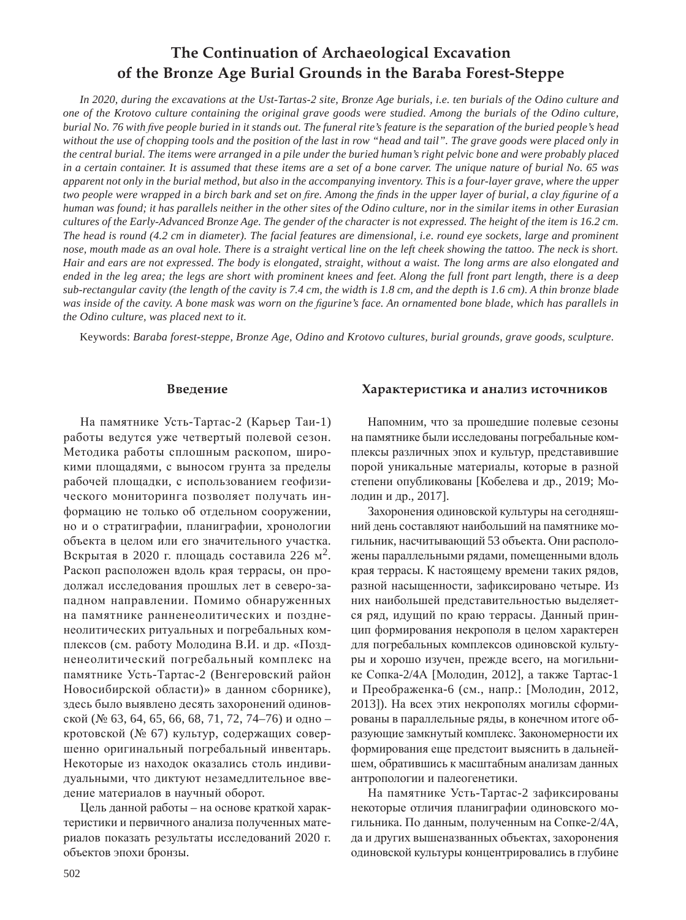# **The Continuation of Archaeological Excavation of the Bronze Age Burial Grounds in the Baraba Forest-Steppe**

*In 2020, during the excavations at the Ust-Tartas-2 site, Bronze Age burials, i.e. ten burials of the Odino culture and one of the Krotovo culture containing the original grave goods were studied. Among the burials of the Odino culture, burial No. 76 with five people buried in it stands out. The funeral rite's feature is the separation of the buried people's head without the use of chopping tools and the position of the last in row "head and tail". The grave goods were placed only in the central burial. The items were arranged in a pile under the buried human's right pelvic bone and were probably placed in a certain container. It is assumed that these items are a set of a bone carver. The unique nature of burial No. 65 was apparent not only in the burial method, but also in the accompanying inventory. This is a four-layer grave, where the upper two people were wrapped in a birch bark and set on fire. Among the finds in the upper layer of burial, a clay figurine of a human was found; it has parallels neither in the other sites of the Odino culture, nor in the similar items in other Eurasian cultures of the Early-Advanced Bronze Age. The gender of the character is not expressed. The height of the item is 16.2 cm. The head is round (4.2 cm in diameter). The facial features are dimensional, i.e. round eye sockets, large and prominent nose, mouth made as an oval hole. There is a straight vertical line on the left cheek showing the tattoo. The neck is short. Hair and ears are not expressed. The body is elongated, straight, without a waist. The long arms are also elongated and ended in the leg area; the legs are short with prominent knees and feet. Along the full front part length, there is a deep sub-rectangular cavity (the length of the cavity is 7.4 cm, the width is 1.8 cm, and the depth is 1.6 cm). A thin bronze blade was inside of the cavity. A bone mask was worn on the figurine's face. An ornamented bone blade, which has parallels in the Odino culture, was placed next to it.*

Keywords: *Baraba forest-steppe, Bronze Age, Odino and Krotovo cultures, burial grounds, grave goods, sculpture.*

### **Введение**

На памятнике Усть-Тартас-2 (Карьер Таи-1) работы ведутся уже четвертый полевой сезон. Методика работы сплошным раскопом, широкими площадями, с выносом грунта за пределы рабочей площадки, с использованием геофизического мониторинга позволяет получать информацию не только об отдельном сооружении, но и о стратиграфии, планиграфии, хронологии объекта в целом или его значительного участка. Вскрытая в 2020 г. площадь составила 226 м<sup>2</sup>. Раскоп расположен вдоль края террасы, он продолжал исследования прошлых лет в северо-западном направлении. Помимо обнаруженных на памятнике ранненеолитических и поздненеолитических ритуальных и погребальных комплексов (см. работу Молодина В.И. и др. «Поздненеолитический погребальный комплекс на памятнике Усть-Тартас-2 (Венгеровский район Новосибирской области)» в данном сборнике), здесь было выявлено десять захоронений одиновской (№ 63, 64, 65, 66, 68, 71, 72, 74–76) и одно – кротовской (№ 67) культур, содержащих совершенно оригинальный погребальный инвентарь. Некоторые из находок оказались столь индивидуальными, что диктуют незамедлительное введение материалов в научный оборот.

Цель данной работы – на основе краткой характеристики и первичного анализа полученных материалов показать результаты исследований 2020 г. объектов эпохи бронзы.

# Характеристика и анализ источников

Напомним, что за прошедшие полевые сезоны на памятнике были исследованы погребальные комплексы различных эпох и культур, представившие порой уникальные материалы, которые в разной степени опубликованы [Кобелева и др., 2019; Молодин и др., 2017].

Захоронения одиновской культуры на сегодняшний день составляют наибольший на памятнике могильник, насчитывающий 53 объекта. Они расположены параллельными рядами, помещенными вдоль края террасы. К настоящему времени таких рядов, разной насыщенности, зафиксировано четыре. Из них наибольшей представительностью выделяется ряд, идущий по краю террасы. Данный принцип формирования некрополя в целом характерен для погребальных комплексов одиновской культуры и хорошо изучен, прежде всего, на могильнике Сопка-2/4А [Молодин, 2012], а также Тартас-1 и Преображенка-6 (см., напр.: [Молодин, 2012, 2013]). На всех этих некрополях могилы сформированы в параллельные ряды, в конечном итоге образующие замкнутый комплекс. Закономерности их формирования еще предстоит выяснить в дальнейшем, обратившись к масштабным анализам данных антропологии и палеогенетики.

На памятнике Усть-Тартас-2 зафиксированы некоторые отличия планиграфии одиновского могильника. По данным, полученным на Сопке-2/4А, да и других вышеназванных объектах, захоронения одиновской культуры концентрировались в глубине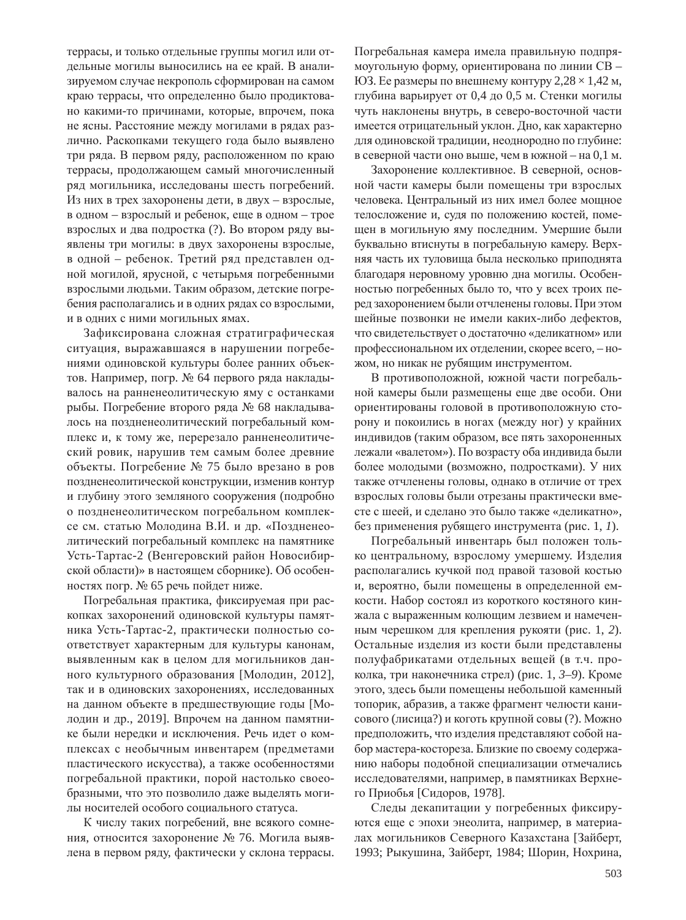террасы, и только отдельные группы могил или отдельные могилы выносились на ее край. В анализируемом случае некрополь сформирован на самом краю террасы, что определенно было продиктовано какими-то причинами, которые, впрочем, пока не ясны. Расстояние между могилами в рядах различно. Раскопками текущего года было выявлено три ряда. В первом ряду, расположенном по краю террасы, продолжающем самый многочисленный ряд могильника, исследованы шесть погребений. Из них в трех захоронены дети, в двух – взрослые, в одном – взрослый и ребенок, еще в одном – трое взрослых и два подростка (?). Во втором ряду выявлены три могилы: в двух захоронены взрослые, в одной – ребенок. Третий ряд представлен одной могилой, ярусной, с четырьмя погребенными взрослыми людьми. Таким образом, детские погребения располагались и в одних рядах со взрослыми, и в одних с ними могильных ямах.

Зафиксирована сложная стратиграфическая ситуация, выражавшаяся в нарушении погребениями одиновской культуры более ранних объектов. Например, погр. № 64 первого ряда накладывалось на ранненеолитическую яму с останками рыбы. Погребение второго ряда № 68 накладывалось на поздненеолитический погребальный комплекс и, к тому же, перерезало ранненеолитический ровик, нарушив тем самым более древние объекты. Погребение № 75 было врезано в ров поздненеолитической конструкции, изменив контур и глубину этого земляного сооружения (подробно о поздненеолитическом погребальном комплексе см. статью Молодина В.И. и др. «Поздненеолитический погребальный комплекс на памятнике Усть-Тартас-2 (Венгеровский район Новосибирской области)» в настоящем сборнике). Об особенностях погр. № 65 речь пойдет ниже.

Погребальная практика, фиксируемая при раскопках захоронений одиновской культуры памятника Усть-Тартас-2, практически полностью соответствует характерным для культуры канонам, выявленным как в целом для могильников данного культурного образования [Молодин, 2012], так и в одиновских захоронениях, исследованных на данном объекте в предшествующие годы [Молодин и др., 2019]. Впрочем на данном памятнике были нередки и исключения. Речь идет о комплексах с необычным инвентарем (предметами пластического искусства), а также особенностями погребальной практики, порой настолько своеобразными, что это позволило даже выделять могилы носителей особого социального статуса.

К числу таких погребений, вне всякого сомнения, относится захоронение № 76. Могила выявлена в первом ряду, фактически у склона террасы. Погребальная камера имела правильную подпрямоугольную форму, ориентирована по линии СВ -ЮЗ. Ее размеры по внешнему контуру 2,28  $\times$  1,42 м, глубина варьирует от 0,4 до 0,5 м. Стенки могилы чуть наклонены внутрь, в северо-восточной части имеется отрицательный уклон. Дно, как характерно для одиновской традиции, неоднородно по глубине: в северной части оно выше, чем в южной - на 0,1 м.

Захоронение коллективное. В северной, основной части камеры были помещены три взрослых человека. Центральный из них имел более мощное телосложение и, судя по положению костей, помещен в могильную яму последним. Умершие были буквально втиснуты в погребальную камеру. Верхняя часть их туловища была несколько приподнята благодаря неровному уровню дна могилы. Особенностью погребенных было то, что у всех троих перед захоронением были отчленены головы. При этом шейные позвонки не имели каких-либо лефектов. что свидетельствует о достаточно «деликатном» или профессиональном их отделении, скорее всего, - ножом, но никак не рубящим инструментом.

В противоположной, южной части погребальной камеры были размещены еще две особи. Они ориентированы головой в противоположную сторону и покоились в ногах (между ног) у крайних индивидов (таким образом, все пять захороненных лежали «валетом»). По возрасту оба индивида были более молодыми (возможно, подростками). У них также отчленены головы, однако в отличие от трех взрослых головы были отрезаны практически вместе с шеей, и сделано это было также «деликатно», без применения рубящего инструмента (рис. 1, *1*).

Погребальный инвентарь был положен только центральному, взрослому умершему. Изделия располагались кучкой под правой тазовой костью и, вероятно, были помещены в определенной емкости. Набор состоял из короткого костяного кинжала с выраженным колющим лезвием и намеченным черешком для крепления рукояти (рис. 1, 2). Остальные изделия из кости были представлены полуфабрикатами отдельных вещей (в т.ч. проколка, три наконечника стрел) (рис. 1, 3–9). Кроме этого, здесь были помещены небольшой каменный топорик, абразив, а также фрагмент челюсти канисового (лисица?) и коготь крупной совы (?). Можно предположить, что изделия представляют собой набор мастера-костореза. Близкие по своему содержанию наборы подобной специализации отмечались исследователями, например, в памятниках Верхнего Приобья [Сидоров, 1978].

Следы декапитации у погребенных фиксируются еще с эпохи энеолита, например, в материалах могильников Северного Казахстана [Зайберт, 1993; Рыкушина, Зайберт, 1984; Шорин, Нохрина,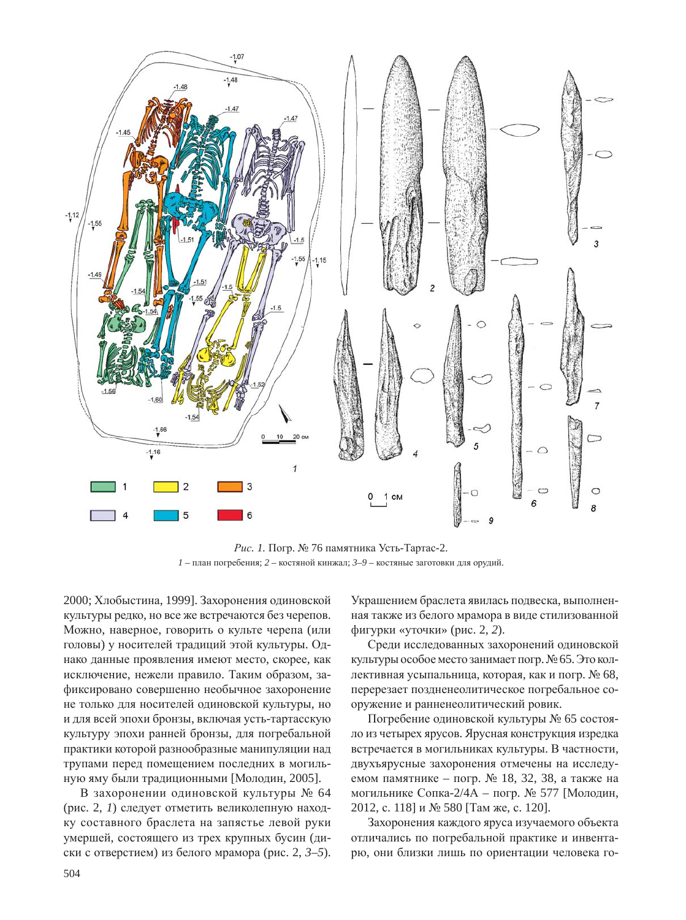

*Рис. 1.* Погр. № 76 памятника Усть-Тартас-2.  $1$  – план погребения;  $2$  – костяной кинжал;  $3-9$  – костяные заготовки для орудий.

2000; Хлобыстина, 1999]. Захоронения одиновской культуры редко, но все же встречаются без черепов. Можно, наверное, говорить о культе черепа (или головы) у носителей традиций этой культуры. Однако данные проявления имеют место, скорее, как исключение, нежели правило. Таким образом, зафиксировано совершенно необычное захоронение не только для носителей одиновской культуры, но и для всей эпохи бронзы, включая усть-тартасскую культуру эпохи ранней бронзы, для погребальной практики которой разнообразные манипуляции над трупами перед помещением последних в могильную яму были традиционными [Молодин, 2005].

В захоронении одиновской культуры № 64 (рис. 2, 1) следует отметить великолепную находку составного браслета на запястье левой руки умершей, состоящего из трех крупных бусин (диски с отверстием) из белого мрамора (рис. 2,  $3-5$ ).

Украшением браслета явилась подвеска, выполненная также из белого мрамора в виде стилизованной фигурки «уточки» (рис. 2, 2).

Среди исследованных захоронений одиновской культуры особое место занимает погр. № 65. Это коллективная усыпальница, которая, как и погр. № 68, перерезает поздненеолитическое погребальное сооружение и ранненеолитический ровик.

Погребение одиновской культуры № 65 состояло из четырех ярусов. Ярусная конструкция изредка встречается в могильниках культуры. В частности, двухъярусные захоронения отмечены на исследуемом памятнике – погр. № 18, 32, 38, а также на могильнике Сопка-2/4А – погр. № 577 [Молодин, 2012, с. 118] и № 580 [Там же, с. 120].

Захоронения каждого яруса изучаемого объекта отличались по погребальной практике и инвентарю, они близки лишь по ориентации человека го-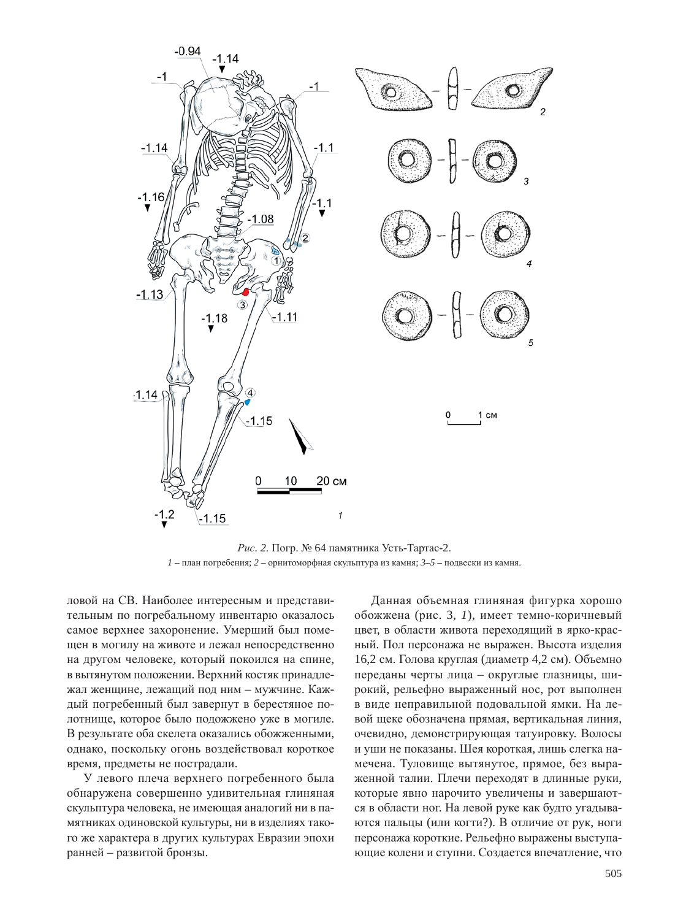

*Рис.* 2. Погр. № 64 памятника Усть-Тартас-2.  $1$  – план погребения;  $2$  – орнитоморфная скульптура из камня;  $3-5$  – подвески из камня.

ловой на СВ. Наиболее интересным и представительным по погребальному инвентарю оказалось самое верхнее захоронение. Умерший был помещен в могилу на животе и лежал непосредственно на другом человеке, который покоился на спине, в вытянутом положении. Верхний костяк принадлежал женщине, лежащий под ним – мужчине. Каждый погребенный был завернут в берестяное полотнище, которое было подожжено уже в могиле. В результате оба скелета оказались обожженными, однако, поскольку огонь воздействовал короткое время, предметы не пострадали.

У левого плеча верхнего погребенного была обнаружена совершенно удивительная глиняная скульптура человека, не имеющая аналогий ни в памятниках одиновской культуры, ни в изделиях такого же характера в других культурах Евразии эпохи ранней – развитой бронзы.

Данная объемная глиняная фигурка хорошо обожжена (рис. 3, 1), имеет темно-коричневый цвет, в области живота переходящий в ярко-красный. Пол персонажа не выражен. Высота изделия 16,2 см. Голова круглая (диаметр 4,2 см). Объемно переданы черты лица – округлые глазницы, широкий, рельефно выраженный нос, рот выполнен в виде неправильной подовальной ямки. На левой щеке обозначена прямая, вертикальная линия, очевидно, демонстрирующая татуировку. Волосы и уши не показаны. Шея короткая, лишь слегка намечена. Туловище вытянутое, прямое, без выраженной талии. Плечи переходят в длинные руки, которые явно нарочито увеличены и завершаются в области ног. На левой руке как будто угадываются пальцы (или когти?). В отличие от рук, ноги персонажа короткие. Рельефно выражены выступающие колени и ступни. Создается впечатление, что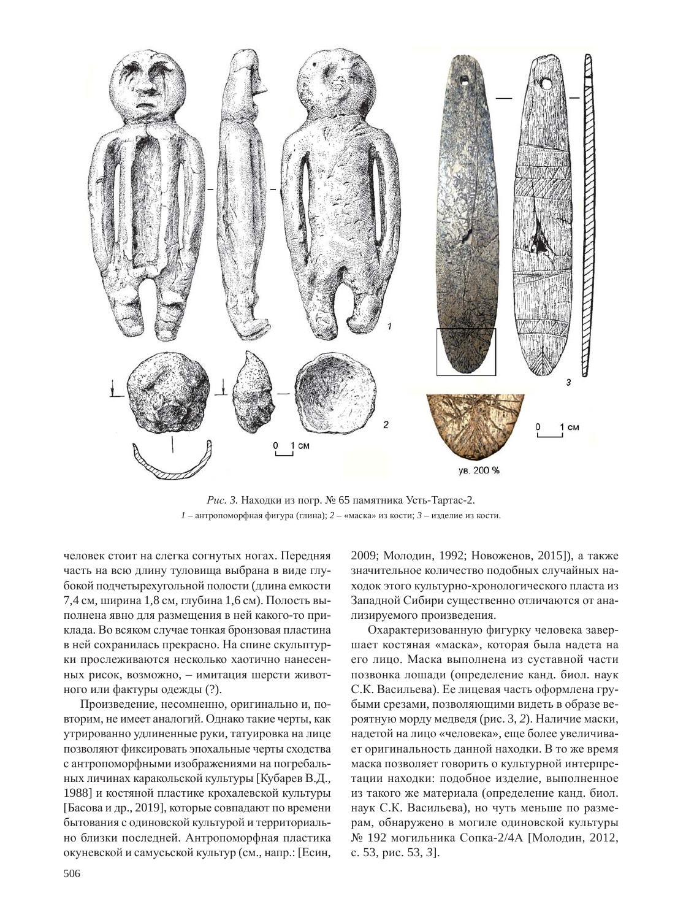

*Рис. 3.* Находки из погр. № 65 памятника Усть-Тартас-2.  $1 -$ антропоморфная фигура (глина);  $2 -$ «маска» из кости;  $3 -$ изделие из кости.

человек стоит на слегка согнутых ногах. Передняя часть на всю длину туловища выбрана в виде глубокой подчетырехугольной полости (длина емкости 7,4 см, ширина 1,8 см, глубина 1,6 см). Полость выполнена явно для размещения в ней какого-то приклада. Во всяком случае тонкая бронзовая пластина в ней сохранилась прекрасно. На спине скульптурки прослеживаются несколько хаотично нанесенных рисок, возможно, – имитация шерсти животного или фактуры одежды (?).

Произведение, несомненно, оригинально и, повторим, не имеет аналогий. Однако такие черты, как утрированно удлиненные руки, татуировка на лице позволяют фиксировать эпохальные черты сходства с антропоморфными изображениями на погребальных личинах каракольской культуры [Кубарев В.Д., 1988] и костяной пластике крохалевской культуры [Басова и др., 2019], которые совпадают по времени бытования с одиновской культурой и территориально близки последней. Антропоморфная пластика окуневской и самусьской культур (см., напр.: [Есин, 2009; Молодин, 1992; Новоженов, 2015]), а также значительное количество подобных случайных находок этого культурно-хронологического пласта из Западной Сибири существенно отличаются от анализируемого произведения.

Охарактеризованную фигурку человека завершает костяная «маска», которая была надета на его лицо. Маска выполнена из суставной части позвонка лошади (определение канд. биол. наук С.К. Васильева). Ее лицевая часть оформлена грубыми срезами, позволяющими видеть в образе вероятную морду медведя (рис. 3, 2). Наличие маски, надетой на лицо «человека», еще более увеличивает оригинальность данной находки. В то же время маска позволяет говорить о культурной интерпретации находки: подобное изделие, выполненное из такого же материала (определение канд. биол. наук С.К. Васильева), но чуть меньше по размерам, обнаружено в могиле одиновской культуры № 192 могильника Сопка-2/4А [Молодин, 2012, с. 53, рис. 53, 3].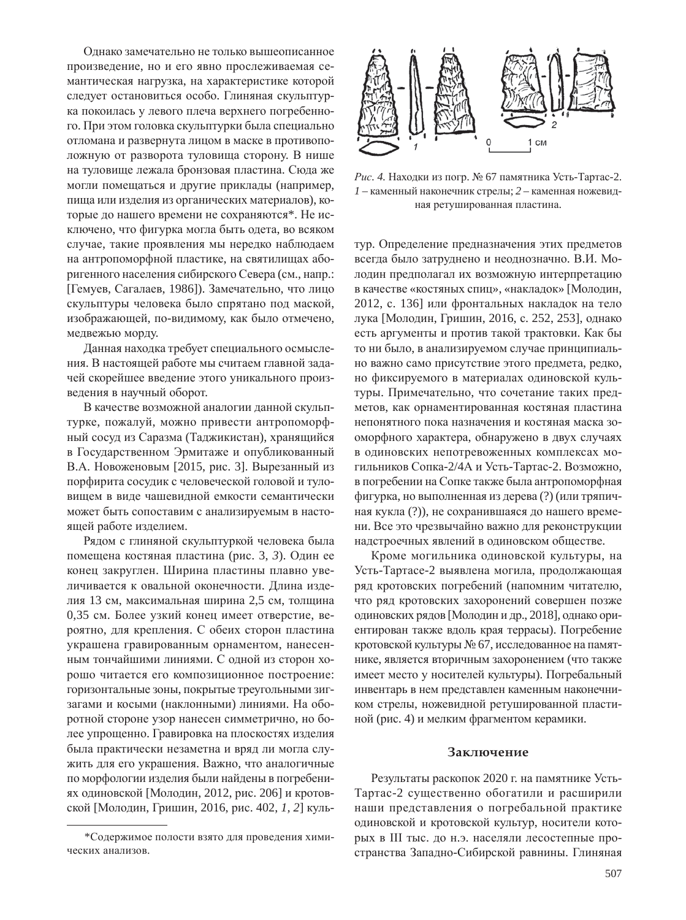Однако замечательно не только вышеописанное произведение, но и его явно прослеживаемая семантическая нагрузка, на характеристике которой следует остановиться особо. Глиняная скульптурка покоилась у левого плеча верхнего погребенного. При этом головка скульптурки была специально отломана и развернута лицом в маске в противоположную от разворота туловища сторону. В нише на туловище лежала бронзовая пластина. Сюда же могли помещаться и другие приклады (например, пища или изделия из органических материалов), которые до нашего времени не сохраняются\*. Не исключено, что фигурка могла быть одета, во всяком случае, такие проявления мы нередко наблюдаем на антропоморфной пластике, на святилищах аборигенного населения сибирского Севера (см., напр.: [Гемуев, Сагалаев, 1986]). Замечательно, что лицо скульптуры человека было спрятано под маской, изображающей, по-видимому, как было отмечено, медвежью морду.

Данная находка требует специального осмысления. В настоящей работе мы считаем главной задачей скорейшее введение этого уникального произведения в научный оборот.

В качестве возможной аналогии данной скульптурке, пожалуй, можно привести антропоморфный сосуд из Саразма (Таджикистан), хранящийся в Государственном Эрмитаже и опубликованный В.А. Новоженовым [2015, рис. 3]. Вырезанный из порфирита сосудик с человеческой головой и туловищем в виде чашевидной емкости семантически может быть сопоставим с анализируемым в настоящей работе изделием.

Рядом с глиняной скульптуркой человека была помещена костяная пластина (рис. 3, 3). Один ее конец закруглен. Ширина пластины плавно увеличивается к овальной оконечности. Длина изделия 13 см, максимальная ширина 2,5 см, толщина 0,35 см. Более узкий конец имеет отверстие, вероятно, для крепления. С обеих сторон пластина украшена гравированным орнаментом, нанесенным тончайшими линиями. С одной из сторон хорошо читается его композиционное построение: горизонтальные зоны, покрытые треугольными зигзагами и косыми (наклонными) линиями. На оборотной стороне узор нанесен симметрично, но более упрощенно. Гравировка на плоскостях изделия была практически незаметна и вряд ли могла служить для его украшения. Важно, что аналогичные по морфологии изделия были найдены в погребениях одиновской [Молодин, 2012, рис. 206] и кротовской [Молодин, Гришин, 2016, рис. 402, *1*, 2] куль-



*Рис. 4.* Находки из погр. № 67 памятника Усть-Тартас-2.  $1$  – каменный наконечник стрелы;  $2$  – каменная ножевидная ретушированная пластина.

тур. Определение предназначения этих предметов всегда было затруднено и неоднозначно. В.И. Молодин предполагал их возможную интерпретацию в качестве «костяных спиц», «накладок» [Молодин, 2012, с. 136] или фронтальных накладок на тело лука [Молодин, Гришин, 2016, с. 252, 253], однако есть аргументы и против такой трактовки. Как бы то ни было, в анализируемом случае принципиально важно само присутствие этого предмета, редко, но фиксируемого в материалах одиновской культуры. Примечательно, что сочетание таких предметов, как орнаментированная костяная пластина непонятного пока назначения и костяная маска зооморфного характера, обнаружено в двух случаях в одиновских непотревоженных комплексах могильников Сопка-2/4А и Усть-Тартас-2. Возможно, в погребении на Сопке также была антропоморфная фигурка, но выполненная из дерева (?) (или тряпичная кукла (?)), не сохранившаяся до нашего времени. Все это чрезвычайно важно для реконструкции надстроечных явлений в одиновском обществе.

Кроме могильника одиновской культуры, на Усть-Тартасе-2 выявлена могила, продолжающая ряд кротовских погребений (напомним читателю, что ряд кротовских захоронений совершен позже одиновских рядов [Молодин и др., 2018], однако ориентирован также вдоль края террасы). Погребение кротовской культуры № 67, исследованное на памятнике, является вторичным захоронением (что также имеет место у носителей культуры). Погребальный инвентарь в нем представлен каменным наконечником стрелы, ножевидной ретушированной пластиной (рис. 4) и мелким фрагментом керамики.

#### Заключение

Результаты раскопок 2020 г. на памятнике Усть-Тартас-2 существенно обогатили и расширили наши представления о погребальной практике одиновской и кротовской культур, носители которых в III тыс. до н.э. населяли лесостепные пространства Западно-Сибирской равнины. Глиняная

<sup>\*</sup>Содержимое полости взято для проведения химических анализов.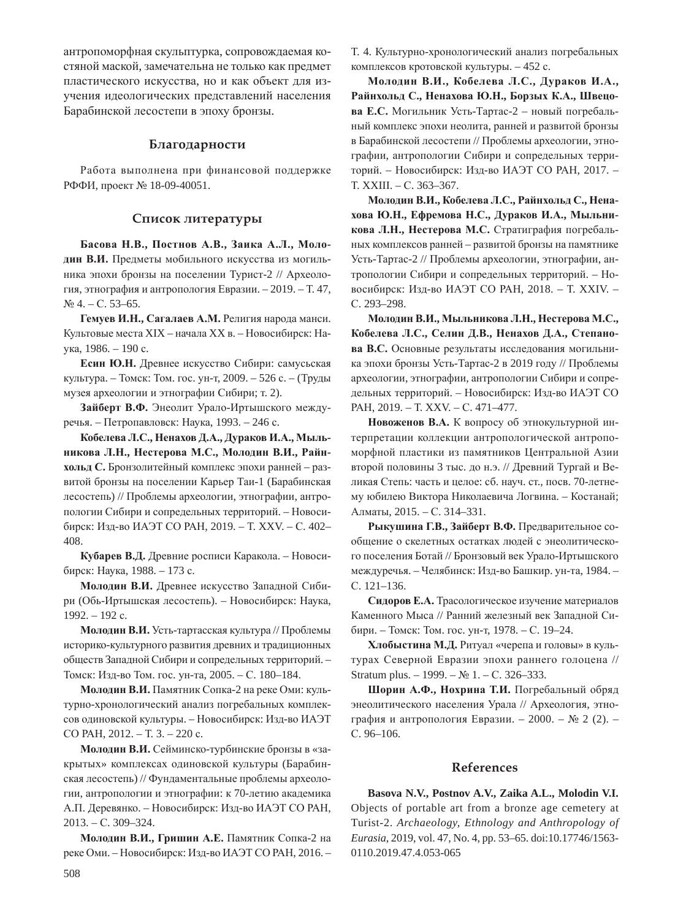антропоморфная скульптурка, сопровождаемая костяной маской, замечательна не только как предмет пластического искусства, но и как объект для изучения идеологических представлений населения Барабинской лесостепи в эпоху бронзы.

## **Благодарности**

Работа выполнена при финансовой поддержке РФФИ, проект № 18-09-40051.

## Список литературы

Басова Н.В., Постнов А.В., Заика А.Л., Молодин В.И. Предметы мобильного искусства из могильника эпохи бронзы на поселении Турист-2 // Археология, этнография и антропология Евразии. – 2019. – Т. 47,  $N<sub>2</sub>$  4. – C. 53–65.

Гемуев И.Н., Сагалаев А.М. Религия народа манси. Культовые места XIX – начала XX в. – Новосибирск: Наука, 1986. – 190 с.

Есин Ю.Н. Древнее искусство Сибири: самусьская культура. – Томск: Том. гос. ун-т, 2009. – 526 с. – (Труды музея археологии и этнографии Сибири; т. 2).

Зайберт В.Ф. Энеолит Урало-Иртышского междуречья. – Петропавловск: Наука, 1993. – 246 с.

Кобелева Л.С., Ненахов Д.А., Дураков И.А., Мыль-**НИКОВА Л.Н., Нестерова М.С., Молодин В.И., Райнхольд С.** Бронзолитейный комплекс эпохи ранней - развитой бронзы на поселении Карьер Таи-1 (Барабинская лесостепь) // Проблемы археологии, этнографии, антропологии Сибири и сопредельных территорий. – Новосибирск: Изд-во ИАЭТ СО РАН, 2019. – Т. XXV. – С. 402– 408.

Кубарев В.Д. Древние росписи Каракола. – Новосибирск: Наука, 1988. – 173 с.

Молодин В.И. Древнее искусство Западной Сибири (Обь-Иртышская лесостепь). – Новосибирск: Наука, 1992. - 192 c.

Молодин В.И. Усть-тартасская культура // Проблемы историко-культурного развития древних и традиционных обществ Западной Сибири и сопредельных территорий. -Томск: Изд-во Том. гос. ун-та, 2005. – С. 180-184.

**Молодин В.И.** Памятник Сопка-2 на реке Оми: культурно-хронологический анализ погребальных комплексов одиновской культуры. – Новосибирск: Изд-во ИАЭТ CO PAH, 2012. – T. 3. – 220 c.

Молодин В.И. Сейминско-турбинские бронзы в «закрытых» комплексах одиновской культуры (Барабинская лесостепь) // Фундаментальные проблемы археологии, антропологии и этнографии: к 70-летию академика А.П. Деревянко. – Новосибирск: Изд-во ИАЭТ СО РАН, 2013. – ɋ. 309–324.

Молодин В.И., Гришин А.Е. Памятник Сопка-2 на реке Оми. – Новосибирск: Изд-во ИАЭТ СО РАН, 2016. – Т. 4. Культурно-хронологический анализ погребальных комплексов кротовской культуры. – 452 с.

 $M$ олодин В.И., Кобелева Л.С., Дураков И.А., Райнхольд С., Ненахова Ю.Н., Борзых К.А., Швецо**ва Е.С.** Могильник Усть-Тартас-2 – новый погребальный комплекс эпохи неолита, ранней и развитой бронзы в Барабинской лесостепи // Проблемы археологии, этнографии, антропологии Сибири и сопредельных территорий. – Новосибирск: Изд-во ИАЭТ СО РАН, 2017. – T. XXIII. – C. 363–367.

Молодин В.И., Кобелева Л.С., Райнхольд С., Нена**жова Ю.Н., Ефремова Н.С., Дураков И.А., Мыльни**кова Л.Н., Нестерова М.С. Стратиграфия погребальных комплексов ранней – развитой бронзы на памятнике Усть-Тартас-2 // Проблемы археологии, этнографии, антропологии Сибири и сопредельных территорий. – Новосибирск: Изд-во ИАЭТ СО РАН, 2018. – Т. XXIV. – C. 293-298.

 $M$ олодин В.И., Мыльникова Л.Н., Нестерова М.С., Кобелева Л.С., Селин Д.В., Ненахов Д.А., Степано**ва В.С.** Основные результаты исследования могильника эпохи бронзы Усть-Тартас-2 в 2019 году // Проблемы археологии, этнографии, антропологии Сибири и сопредельных территорий. – Новосибирск: Изд-во ИАЭТ СО PAH, 2019. – T. XXV. – C. 471–477.

Новоженов В.А. К вопросу об этнокультурной интерпретации коллекции антропологической антропоморфной пластики из памятников Центральной Азии второй половины 3 тыс. до н.э. // Древний Тургай и Великая Степь: часть и целое: сб. науч. ст., посв. 70-летнему юбилею Виктора Николаевича Логвина. – Костанай; Алматы, 2015. – С. 314–331.

Рыкушина Г.В., Зайберт В.Ф. Предварительное сообщение о скелетных остатках людей с энеолитического поселения Ботай // Бронзовый век Урало-Иртышского междуречья. – Челябинск: Изд-во Башкир. ун-та, 1984. – C. 121-136.

Сидоров Е.А. Трасологическое изучение материалов Каменного Мыса // Ранний железный век Западной Сибири. – Томск: Том. гос. ун-т, 1978. – С. 19–24.

Хлобыстина М.Д. Ритуал «черепа и головы» в культурах Северной Евразии эпохи раннего голоцена // Stratum plus. – 1999. –  $\mathbb{N}^{\circ}$  1. – C. 326–333.

**Шорин А.Ф., Нохрина Т.И.** Погребальный обряд энеолитического населения Урала // Археология, этнография и антропология Евразии. – 2000. – № 2 (2). – C. 96-106.

### **References**

**Basova N.V., Postnov A.V., Zaika A.L., Molodin V.I.** Objects of portable art from a bronze age cemetery at Turist-2. *Archaeology, Ethnology and Anthropology of Eurasia*, 2019, vol. 47, No. 4, pp. 53–65. doi:10.17746/1563- 0110.2019.47.4.053-065